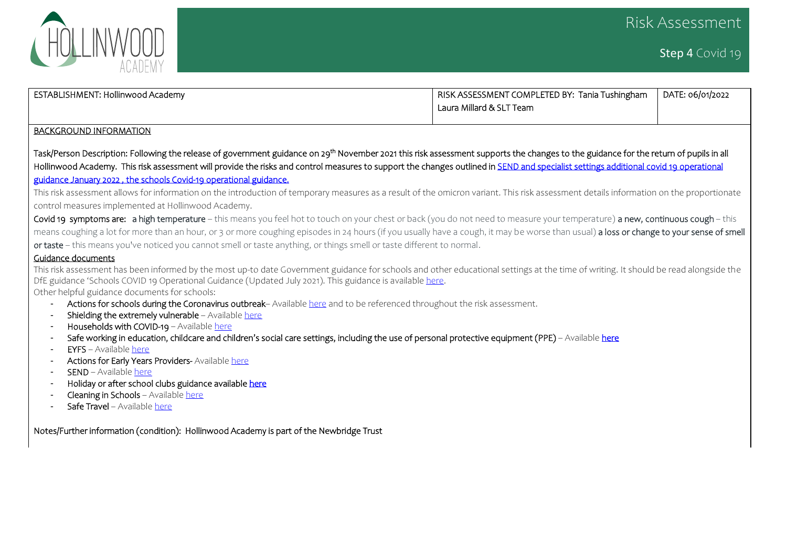

| ESTABLISHMENT: Hollinwood Academy | RISK ASSESSMENT COMPLETED BY: Tania Tushingham   DATE: 06/01/2022 |  |
|-----------------------------------|-------------------------------------------------------------------|--|
|                                   | Laura Millard & SLT Team                                          |  |
|                                   |                                                                   |  |

#### BACKGROUND INFORMATION

Task/Person Description: Following the release of government guidance on 29<sup>th</sup> November 2021 this risk assessment supports the changes to the guidance for the return of pupils in all Hollinwood Academy. This risk assessment will provide the risks and control measures to support the changes outlined in SEND and specialist settings additional covid 19 operational [guidance J](mailto:https://assets.publishing.service.gov.uk/government/uploads/system/uploads/attachment_data/file/1044968/SEND_guidance_06012022.pdf)anuary 2022 , the schools Covid-19 operational guidance.

This risk assessment allows for information on the introduction of temporary measures as a result of the omicron variant. This risk assessment details information on the proportionate control measures implemented at Hollinwood Academy.

Covid 19 symptoms are: a high temperature – this means you feel hot to touch on your chest or back (you do not need to measure your temperature) a new, continuous cough – this means coughing a lot for more than an hour, or 3 or more coughing episodes in 24 hours (if you usually have a cough, it may be worse than usual) a loss or change to your sense of smell or taste – this means you've noticed you cannot smell or taste anything, or things smell or taste different to normal.

#### Guidance documents

This risk assessment has been informed by the most up-to date Government guidance for schools and other educational settings at the time of writing. It should be read alongside the DfE guidance 'Schools COVID 19 Operational Guidance (Updated July 2021). This guidance is available [here.](https://www.gov.uk/government/publications/actions-for-schools-during-the-coronavirus-outbreak/schools-covid-19-operational-guidance)

Other helpful guidance documents for schools:

- Actions for schools during the Coronavirus outbreak– Availabl[e here](https://www.gov.uk/government/publications/actions-for-schools-during-the-coronavirus-outbreak/guidance-for-full-opening-schools) and to be referenced throughout the risk assessment.
- Shielding the extremely vulnerable Available here
- Households with COVID-19 Availabl[e here](https://www.gov.uk/government/publications/covid-19-stay-at-home-guidance)
- Safe working in education, childcare and children's social care settings, including the use of personal protective equipment (PPE) Available here
- EYFS Available [here](https://www.gov.uk/government/publications/early-years-foundation-stage-framework--2)
- Actions for Early Years Providers- Available here
- SEND Availabl[e here](https://www.gov.uk/government/publications/coronavirus-covid-19-send-risk-assessment-guidance/coronavirus-covid-19-send-risk-assessment-guidance)
- Holiday or after school clubs guidance available here
- Cleaning in Schools Availabl[e here](https://www.gov.uk/government/publications/covid-19-decontamination-in-non-healthcare-settings)
- Safe Travel Availabl[e here](https://www.gov.uk/guidance/coronavirus-covid-19-safer-travel-guidance-for-passengers)

Notes/Further information (condition): Hollinwood Academy is part of the Newbridge Trust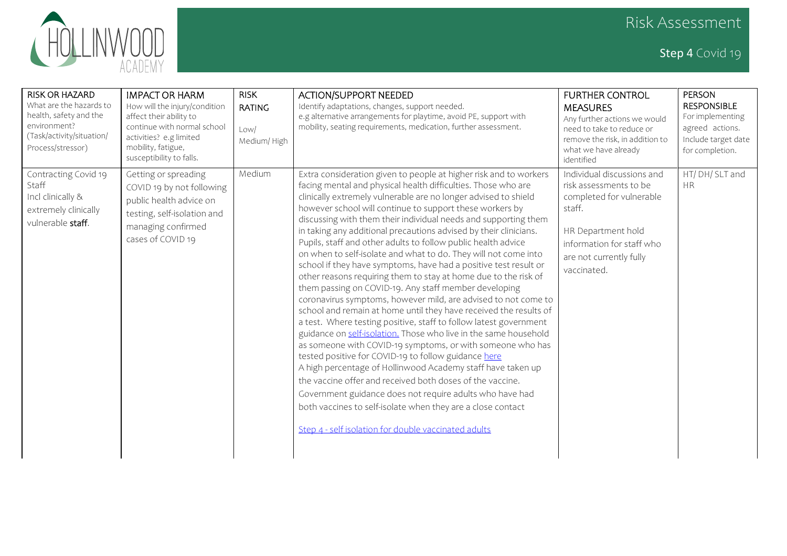

| RISK OR HAZARD<br>What are the hazards to<br>health, safety and the<br>environment?<br>(Task/activity/situation/<br>Process/stressor) | <b>IMPACT OR HARM</b><br>How will the injury/condition<br>affect their ability to<br>continue with normal school<br>activities? e.g limited<br>mobility, fatigue,<br>susceptibility to falls. | <b>RISK</b><br><b>RATING</b><br>Low/<br>Medium/High | <b>ACTION/SUPPORT NEEDED</b><br>Identify adaptations, changes, support needed.<br>e.g alternative arrangements for playtime, avoid PE, support with<br>mobility, seating requirements, medication, further assessment.                                                                                                                                                                                                                                                                                                                                                                                                                                                                                                                                                                                                                                                                                                                                                                                                                                                                                                                                                                                                                                                                                                                                                                                                                                             | <b>FURTHER CONTROL</b><br><b>MEASURES</b><br>Any further actions we would<br>need to take to reduce or<br>remove the risk, in addition to<br>what we have already<br>identified         | PERSON<br><b>RESPONSIBLE</b><br>For implementing<br>agreed actions.<br>Include target date<br>for completion. |
|---------------------------------------------------------------------------------------------------------------------------------------|-----------------------------------------------------------------------------------------------------------------------------------------------------------------------------------------------|-----------------------------------------------------|--------------------------------------------------------------------------------------------------------------------------------------------------------------------------------------------------------------------------------------------------------------------------------------------------------------------------------------------------------------------------------------------------------------------------------------------------------------------------------------------------------------------------------------------------------------------------------------------------------------------------------------------------------------------------------------------------------------------------------------------------------------------------------------------------------------------------------------------------------------------------------------------------------------------------------------------------------------------------------------------------------------------------------------------------------------------------------------------------------------------------------------------------------------------------------------------------------------------------------------------------------------------------------------------------------------------------------------------------------------------------------------------------------------------------------------------------------------------|-----------------------------------------------------------------------------------------------------------------------------------------------------------------------------------------|---------------------------------------------------------------------------------------------------------------|
| Contracting Covid 19<br>Staff<br>Incl clinically &<br>extremely clinically<br>vulnerable staff.                                       | Getting or spreading<br>COVID 19 by not following<br>public health advice on<br>testing, self-isolation and<br>managing confirmed<br>cases of COVID 19                                        | Medium                                              | Extra consideration given to people at higher risk and to workers<br>facing mental and physical health difficulties. Those who are<br>clinically extremely vulnerable are no longer advised to shield<br>however school will continue to support these workers by<br>discussing with them their individual needs and supporting them<br>in taking any additional precautions advised by their clinicians.<br>Pupils, staff and other adults to follow public health advice<br>on when to self-isolate and what to do. They will not come into<br>school if they have symptoms, have had a positive test result or<br>other reasons requiring them to stay at home due to the risk of<br>them passing on COVID-19. Any staff member developing<br>coronavirus symptoms, however mild, are advised to not come to<br>school and remain at home until they have received the results of<br>a test. Where testing positive, staff to follow latest government<br>guidance on self-isolation. Those who live in the same household<br>as someone with COVID-19 symptoms, or with someone who has<br>tested positive for COVID-19 to follow guidance here<br>A high percentage of Hollinwood Academy staff have taken up<br>the vaccine offer and received both doses of the vaccine.<br>Government guidance does not require adults who have had<br>both vaccines to self-isolate when they are a close contact<br>Step 4 - self isolation for double vaccinated adults | Individual discussions and<br>risk assessments to be<br>completed for vulnerable<br>staff.<br>HR Department hold<br>information for staff who<br>are not currently fully<br>vaccinated. | HT/DH/SLT and<br><b>HR</b>                                                                                    |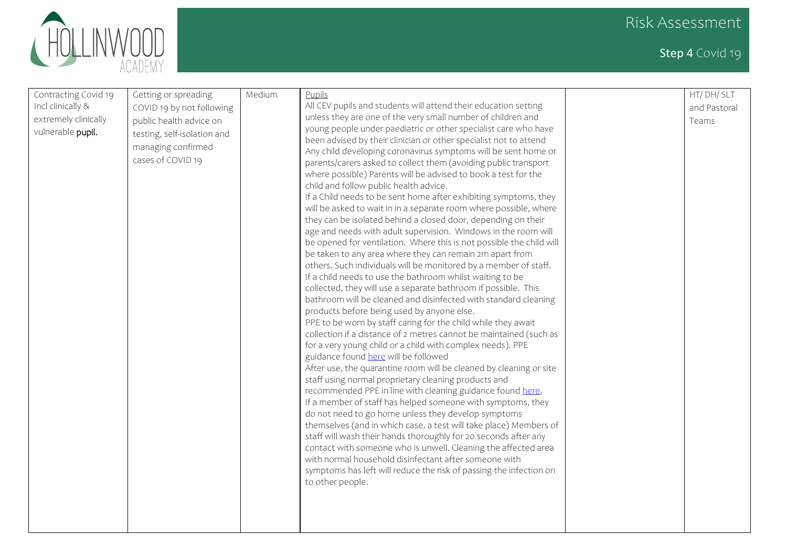



| Contracting Covid 19<br>Incl clinically &<br>extremely clinically<br>vulnerable pupil. | Getting or spreading<br>COVID 19 by not following<br>public health advice on<br>testing, self-isolation and<br>managing confirmed<br>cases of COVID 19 | Medium | Pupils<br>All CEV pupils and students will attend their education setting<br>unless they are one of the very small number of children and<br>young people under paediatric or other specialist care who have<br>been advised by their clinician or other specialist not to attend<br>Any child developing coronavirus symptoms will be sent home or<br>parents/carers asked to collect them (avoiding public transport<br>where possible) Parents will be advised to book a test for the<br>child and follow public health advice.<br>If a Child needs to be sent home after exhibiting symptoms, they<br>will be asked to wait in in a separate room where possible, where<br>they can be isolated behind a closed door, depending on their<br>age and needs with adult supervision. Windows in the room will<br>be opened for ventilation. Where this is not possible the child will<br>be taken to any area where they can remain 2m apart from<br>others. Such individuals will be monitored by a member of staff.<br>If a child needs to use the bathroom whilst waiting to be<br>collected, they will use a separate bathroom if possible. This<br>bathroom will be cleaned and disinfected with standard cleaning<br>products before being used by anyone else.<br>PPE to be worn by staff caring for the child while they await<br>collection if a distance of 2 metres cannot be maintained (such as<br>for a very young child or a child with complex needs). PPE<br>guidance found here will be followed<br>After use, the quarantine room will be cleaned by cleaning or site<br>staff using normal proprietary cleaning products and<br>recommended PPE in line with cleaning guidance found here.<br>If a member of staff has helped someone with symptoms, they<br>do not need to go home unless they develop symptoms<br>themselves (and in which case, a test will take place) Members of<br>staff will wash their hands thoroughly for 20 seconds after any<br>contact with someone who is unwell. Cleaning the affected area<br>with normal household disinfectant after someone with<br>symptoms has left will reduce the risk of passing the infection on<br>to other people. |  | HT/DH/SLT<br>and Pastoral<br>Teams |
|----------------------------------------------------------------------------------------|--------------------------------------------------------------------------------------------------------------------------------------------------------|--------|----------------------------------------------------------------------------------------------------------------------------------------------------------------------------------------------------------------------------------------------------------------------------------------------------------------------------------------------------------------------------------------------------------------------------------------------------------------------------------------------------------------------------------------------------------------------------------------------------------------------------------------------------------------------------------------------------------------------------------------------------------------------------------------------------------------------------------------------------------------------------------------------------------------------------------------------------------------------------------------------------------------------------------------------------------------------------------------------------------------------------------------------------------------------------------------------------------------------------------------------------------------------------------------------------------------------------------------------------------------------------------------------------------------------------------------------------------------------------------------------------------------------------------------------------------------------------------------------------------------------------------------------------------------------------------------------------------------------------------------------------------------------------------------------------------------------------------------------------------------------------------------------------------------------------------------------------------------------------------------------------------------------------------------------------------------------------------------------------------------------------------------------------------------------------------------------------|--|------------------------------------|
|----------------------------------------------------------------------------------------|--------------------------------------------------------------------------------------------------------------------------------------------------------|--------|----------------------------------------------------------------------------------------------------------------------------------------------------------------------------------------------------------------------------------------------------------------------------------------------------------------------------------------------------------------------------------------------------------------------------------------------------------------------------------------------------------------------------------------------------------------------------------------------------------------------------------------------------------------------------------------------------------------------------------------------------------------------------------------------------------------------------------------------------------------------------------------------------------------------------------------------------------------------------------------------------------------------------------------------------------------------------------------------------------------------------------------------------------------------------------------------------------------------------------------------------------------------------------------------------------------------------------------------------------------------------------------------------------------------------------------------------------------------------------------------------------------------------------------------------------------------------------------------------------------------------------------------------------------------------------------------------------------------------------------------------------------------------------------------------------------------------------------------------------------------------------------------------------------------------------------------------------------------------------------------------------------------------------------------------------------------------------------------------------------------------------------------------------------------------------------------------|--|------------------------------------|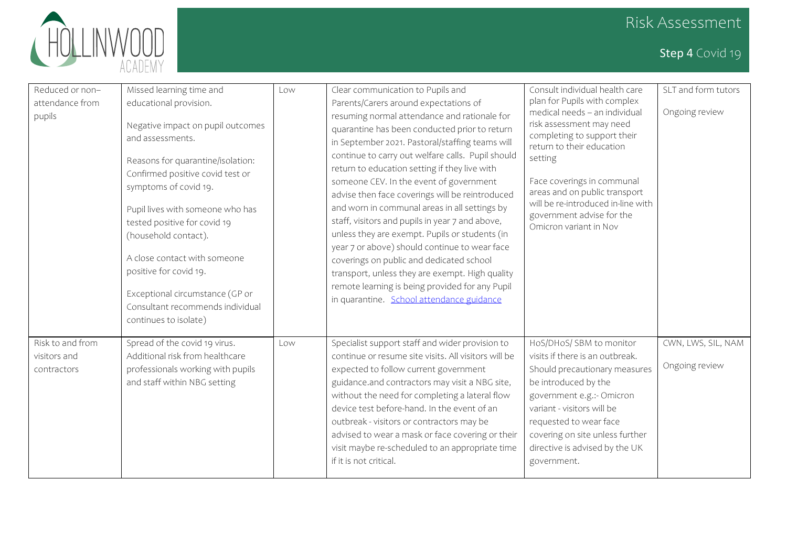



| Reduced or non-<br>attendance from<br>pupils    | Missed learning time and<br>educational provision.<br>Negative impact on pupil outcomes<br>and assessments.<br>Reasons for quarantine/isolation:<br>Confirmed positive covid test or<br>symptoms of covid 19.<br>Pupil lives with someone who has<br>tested positive for covid 19<br>(household contact).<br>A close contact with someone<br>positive for covid 19.<br>Exceptional circumstance (GP or<br>Consultant recommends individual<br>continues to isolate) | Low | Clear communication to Pupils and<br>Parents/Carers around expectations of<br>resuming normal attendance and rationale for<br>quarantine has been conducted prior to return<br>in September 2021. Pastoral/staffing teams will<br>continue to carry out welfare calls. Pupil should<br>return to education setting if they live with<br>someone CEV. In the event of government<br>advise then face coverings will be reintroduced<br>and worn in communal areas in all settings by<br>staff, visitors and pupils in year 7 and above,<br>unless they are exempt. Pupils or students (in<br>year 7 or above) should continue to wear face<br>coverings on public and dedicated school<br>transport, unless they are exempt. High quality<br>remote learning is being provided for any Pupil<br>in quarantine. School attendance guidance | Consult individual health care<br>plan for Pupils with complex<br>medical needs - an individual<br>risk assessment may need<br>completing to support their<br>return to their education<br>setting<br>Face coverings in communal<br>areas and on public transport<br>will be re-introduced in-line with<br>government advise for the<br>Omicron variant in Nov | SLT and form tutors<br>Ongoing review |
|-------------------------------------------------|---------------------------------------------------------------------------------------------------------------------------------------------------------------------------------------------------------------------------------------------------------------------------------------------------------------------------------------------------------------------------------------------------------------------------------------------------------------------|-----|------------------------------------------------------------------------------------------------------------------------------------------------------------------------------------------------------------------------------------------------------------------------------------------------------------------------------------------------------------------------------------------------------------------------------------------------------------------------------------------------------------------------------------------------------------------------------------------------------------------------------------------------------------------------------------------------------------------------------------------------------------------------------------------------------------------------------------------|----------------------------------------------------------------------------------------------------------------------------------------------------------------------------------------------------------------------------------------------------------------------------------------------------------------------------------------------------------------|---------------------------------------|
| Risk to and from<br>visitors and<br>contractors | Spread of the covid 19 virus.<br>Additional risk from healthcare<br>professionals working with pupils<br>and staff within NBG setting                                                                                                                                                                                                                                                                                                                               | Low | Specialist support staff and wider provision to<br>continue or resume site visits. All visitors will be<br>expected to follow current government<br>guidance.and contractors may visit a NBG site,<br>without the need for completing a lateral flow<br>device test before-hand. In the event of an<br>outbreak - visitors or contractors may be<br>advised to wear a mask or face covering or their<br>visit maybe re-scheduled to an appropriate time<br>if it is not critical.                                                                                                                                                                                                                                                                                                                                                        | HoS/DHoS/ SBM to monitor<br>visits if there is an outbreak.<br>Should precautionary measures<br>be introduced by the<br>government e.g.:- Omicron<br>variant - visitors will be<br>requested to wear face<br>covering on site unless further<br>directive is advised by the UK<br>government.                                                                  | CWN, LWS, SIL, NAM<br>Ongoing review  |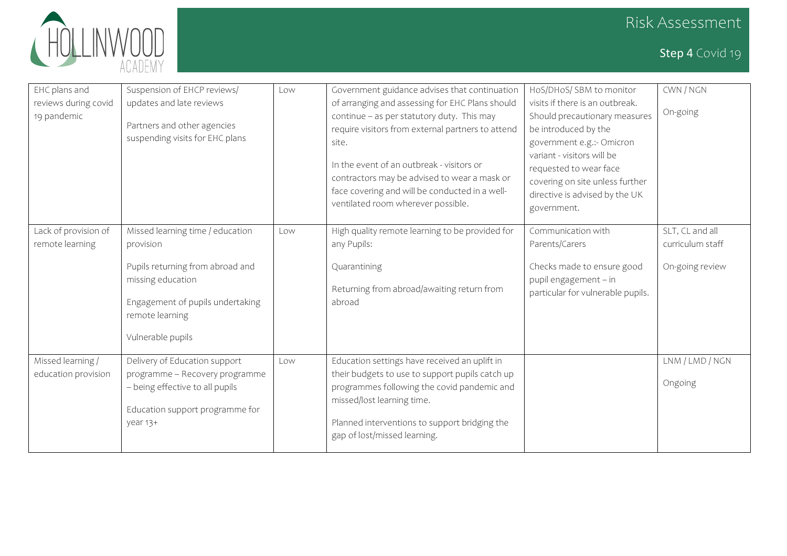

| EHC plans and<br>reviews during covid<br>19 pandemic | Suspension of EHCP reviews/<br>updates and late reviews<br>Partners and other agencies<br>suspending visits for EHC plans                         | Low | Government guidance advises that continuation<br>of arranging and assessing for EHC Plans should<br>continue - as per statutory duty. This may<br>require visitors from external partners to attend<br>site.<br>In the event of an outbreak - visitors or<br>contractors may be advised to wear a mask or | HoS/DHoS/ SBM to monitor<br>visits if there is an outbreak.<br>Should precautionary measures<br>be introduced by the<br>government e.g.:- Omicron<br>variant - visitors will be<br>requested to wear face | CWN / NGN<br>On-going               |
|------------------------------------------------------|---------------------------------------------------------------------------------------------------------------------------------------------------|-----|-----------------------------------------------------------------------------------------------------------------------------------------------------------------------------------------------------------------------------------------------------------------------------------------------------------|-----------------------------------------------------------------------------------------------------------------------------------------------------------------------------------------------------------|-------------------------------------|
|                                                      |                                                                                                                                                   |     | face covering and will be conducted in a well-<br>ventilated room wherever possible.                                                                                                                                                                                                                      | covering on site unless further<br>directive is advised by the UK<br>government.                                                                                                                          |                                     |
| Lack of provision of<br>remote learning              | Missed learning time / education<br>provision                                                                                                     | Low | High quality remote learning to be provided for<br>any Pupils:                                                                                                                                                                                                                                            | Communication with<br>Parents/Carers                                                                                                                                                                      | SLT, CL and all<br>curriculum staff |
|                                                      | Pupils returning from abroad and<br>missing education<br>Engagement of pupils undertaking<br>remote learning<br>Vulnerable pupils                 |     | Quarantining<br>Returning from abroad/awaiting return from<br>abroad                                                                                                                                                                                                                                      | Checks made to ensure good<br>pupil engagement - in<br>particular for vulnerable pupils.                                                                                                                  | On-going review                     |
| Missed learning /<br>education provision             | Delivery of Education support<br>programme - Recovery programme<br>- being effective to all pupils<br>Education support programme for<br>year 13+ | Low | Education settings have received an uplift in<br>their budgets to use to support pupils catch up<br>programmes following the covid pandemic and<br>missed/lost learning time.<br>Planned interventions to support bridging the<br>gap of lost/missed learning.                                            |                                                                                                                                                                                                           | LNM / LMD / NGN<br>Ongoing          |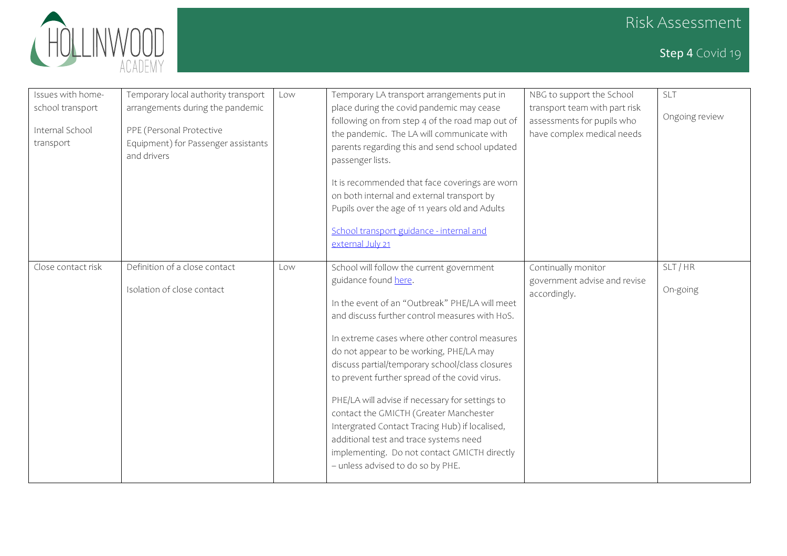

| Issues with home-<br>school transport<br>Internal School<br>transport | Temporary local authority transport<br>arrangements during the pandemic<br>PPE (Personal Protective<br>Equipment) for Passenger assistants<br>and drivers | Low | Temporary LA transport arrangements put in<br>place during the covid pandemic may cease<br>following on from step 4 of the road map out of<br>the pandemic. The LA will communicate with<br>parents regarding this and send school updated<br>passenger lists.<br>It is recommended that face coverings are worn<br>on both internal and external transport by<br>Pupils over the age of 11 years old and Adults                                                                                                                                                                                                                                    | NBG to support the School<br>transport team with part risk<br>assessments for pupils who<br>have complex medical needs | SLT<br>Ongoing review |
|-----------------------------------------------------------------------|-----------------------------------------------------------------------------------------------------------------------------------------------------------|-----|-----------------------------------------------------------------------------------------------------------------------------------------------------------------------------------------------------------------------------------------------------------------------------------------------------------------------------------------------------------------------------------------------------------------------------------------------------------------------------------------------------------------------------------------------------------------------------------------------------------------------------------------------------|------------------------------------------------------------------------------------------------------------------------|-----------------------|
|                                                                       |                                                                                                                                                           |     | School transport guidance - internal and<br>external July 21                                                                                                                                                                                                                                                                                                                                                                                                                                                                                                                                                                                        |                                                                                                                        |                       |
| Close contact risk                                                    | Definition of a close contact<br>Isolation of close contact                                                                                               | Low | School will follow the current government<br>guidance found here.<br>In the event of an "Outbreak" PHE/LA will meet<br>and discuss further control measures with HoS.<br>In extreme cases where other control measures<br>do not appear to be working, PHE/LA may<br>discuss partial/temporary school/class closures<br>to prevent further spread of the covid virus.<br>PHE/LA will advise if necessary for settings to<br>contact the GMICTH (Greater Manchester<br>Intergrated Contact Tracing Hub) if localised,<br>additional test and trace systems need<br>implementing. Do not contact GMICTH directly<br>- unless advised to do so by PHE. | Continually monitor<br>government advise and revise<br>accordingly.                                                    | SLT/HR<br>On-going    |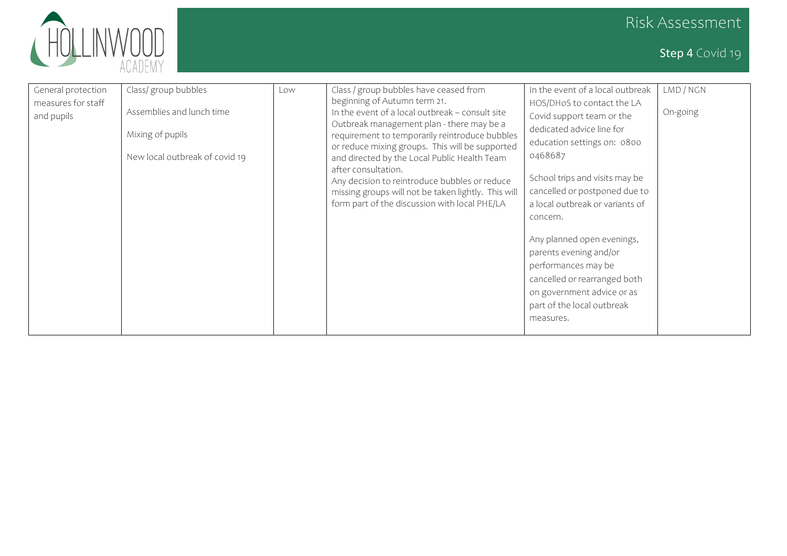

| General protection<br>measures for staff<br>and pupils | Class/ group bubbles<br>Assemblies and lunch time<br>Mixing of pupils<br>New local outbreak of covid 19 | Low | Class / group bubbles have ceased from<br>beginning of Autumn term 21.<br>In the event of a local outbreak - consult site<br>Outbreak management plan - there may be a<br>requirement to temporarily reintroduce bubbles<br>or reduce mixing groups. This will be supported<br>and directed by the Local Public Health Team<br>after consultation.<br>Any decision to reintroduce bubbles or reduce<br>missing groups will not be taken lightly. This will<br>form part of the discussion with local PHE/LA | In the event of a local outbreak<br>HOS/DHoS to contact the LA<br>Covid support team or the<br>dedicated advice line for<br>education settings on: 0800<br>0468687<br>School trips and visits may be<br>cancelled or postponed due to<br>a local outbreak or variants of<br>concern.<br>Any planned open evenings,<br>parents evening and/or<br>performances may be<br>cancelled or rearranged both<br>on government advice or as<br>part of the local outbreak<br>measures. | LMD / NGN<br>On-going |
|--------------------------------------------------------|---------------------------------------------------------------------------------------------------------|-----|-------------------------------------------------------------------------------------------------------------------------------------------------------------------------------------------------------------------------------------------------------------------------------------------------------------------------------------------------------------------------------------------------------------------------------------------------------------------------------------------------------------|------------------------------------------------------------------------------------------------------------------------------------------------------------------------------------------------------------------------------------------------------------------------------------------------------------------------------------------------------------------------------------------------------------------------------------------------------------------------------|-----------------------|
|--------------------------------------------------------|---------------------------------------------------------------------------------------------------------|-----|-------------------------------------------------------------------------------------------------------------------------------------------------------------------------------------------------------------------------------------------------------------------------------------------------------------------------------------------------------------------------------------------------------------------------------------------------------------------------------------------------------------|------------------------------------------------------------------------------------------------------------------------------------------------------------------------------------------------------------------------------------------------------------------------------------------------------------------------------------------------------------------------------------------------------------------------------------------------------------------------------|-----------------------|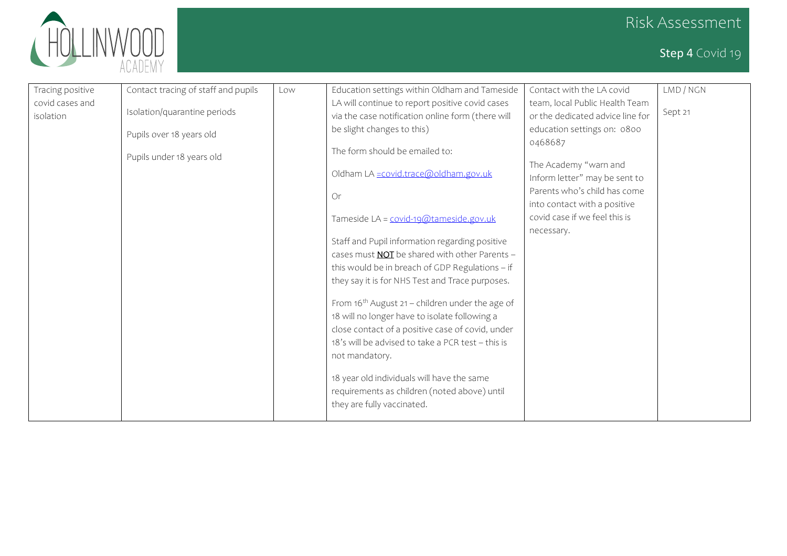

| Tracing positive | Contact tracing of staff and pupils | Low | Education settings within Oldham and Tameside                                                         | Contact with the LA covid        | LMD / NGN |
|------------------|-------------------------------------|-----|-------------------------------------------------------------------------------------------------------|----------------------------------|-----------|
| covid cases and  |                                     |     | LA will continue to report positive covid cases                                                       | team, local Public Health Team   |           |
| isolation        | Isolation/quarantine periods        |     | via the case notification online form (there will                                                     | or the dedicated advice line for | Sept 21   |
|                  | Pupils over 18 years old            |     | be slight changes to this)                                                                            | education settings on: 0800      |           |
|                  |                                     |     |                                                                                                       | 0468687                          |           |
|                  | Pupils under 18 years old           |     | The form should be emailed to:                                                                        |                                  |           |
|                  |                                     |     | Oldham LA = covid.trace@oldham.gov.uk                                                                 | The Academy "warn and            |           |
|                  |                                     |     |                                                                                                       | Inform letter" may be sent to    |           |
|                  |                                     |     | <b>Or</b>                                                                                             | Parents who's child has come     |           |
|                  |                                     |     |                                                                                                       | into contact with a positive     |           |
|                  |                                     |     | Tameside LA = covid-19@tameside.gov.uk                                                                | covid case if we feel this is    |           |
|                  |                                     |     |                                                                                                       | necessary.                       |           |
|                  |                                     |     | Staff and Pupil information regarding positive                                                        |                                  |           |
|                  |                                     |     | cases must NOT be shared with other Parents -                                                         |                                  |           |
|                  |                                     |     | this would be in breach of GDP Regulations - if                                                       |                                  |           |
|                  |                                     |     | they say it is for NHS Test and Trace purposes.                                                       |                                  |           |
|                  |                                     |     | From $16th$ August 21 – children under the age of                                                     |                                  |           |
|                  |                                     |     | 18 will no longer have to isolate following a                                                         |                                  |           |
|                  |                                     |     |                                                                                                       |                                  |           |
|                  |                                     |     | close contact of a positive case of covid, under<br>18's will be advised to take a PCR test - this is |                                  |           |
|                  |                                     |     |                                                                                                       |                                  |           |
|                  |                                     |     | not mandatory.                                                                                        |                                  |           |
|                  |                                     |     | 18 year old individuals will have the same                                                            |                                  |           |
|                  |                                     |     | requirements as children (noted above) until                                                          |                                  |           |
|                  |                                     |     | they are fully vaccinated.                                                                            |                                  |           |
|                  |                                     |     |                                                                                                       |                                  |           |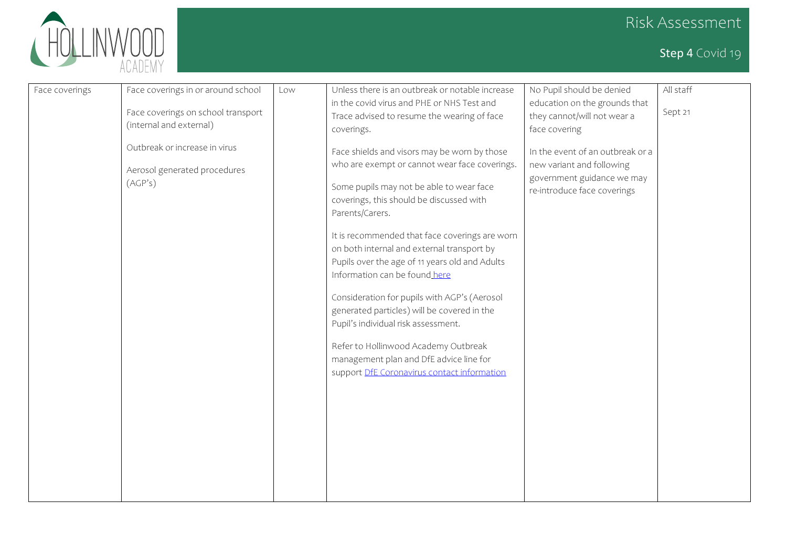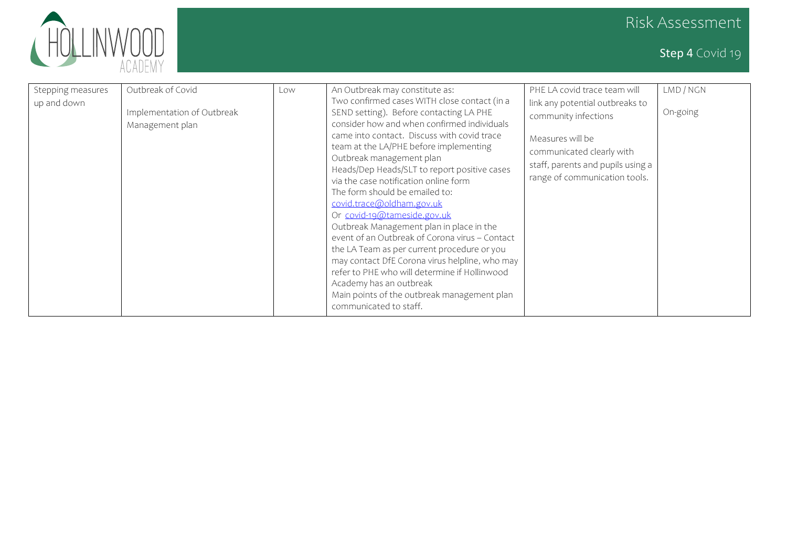

| Stepping measures<br>up and down | Outbreak of Covid<br>Implementation of Outbreak | Low | An Outbreak may constitute as:<br>Two confirmed cases WITH close contact (in a<br>SEND setting). Before contacting LA PHE<br>consider how and when confirmed individuals                                                                                                                                                                                                                                                                                                                                                                                                                                                                                     | PHE LA covid trace team will<br>link any potential outbreaks to<br>community infections                             | LMD / NGN<br>On-going |
|----------------------------------|-------------------------------------------------|-----|--------------------------------------------------------------------------------------------------------------------------------------------------------------------------------------------------------------------------------------------------------------------------------------------------------------------------------------------------------------------------------------------------------------------------------------------------------------------------------------------------------------------------------------------------------------------------------------------------------------------------------------------------------------|---------------------------------------------------------------------------------------------------------------------|-----------------------|
|                                  | Management plan                                 |     | came into contact. Discuss with covid trace<br>team at the LA/PHE before implementing<br>Outbreak management plan<br>Heads/Dep Heads/SLT to report positive cases<br>via the case notification online form<br>The form should be emailed to:<br>covid.trace@oldham.gov.uk<br>Or covid-19@tameside.gov.uk<br>Outbreak Management plan in place in the<br>event of an Outbreak of Corona virus - Contact<br>the LA Team as per current procedure or you<br>may contact DfE Corona virus helpline, who may<br>refer to PHE who will determine if Hollinwood<br>Academy has an outbreak<br>Main points of the outbreak management plan<br>communicated to staff. | Measures will be<br>communicated clearly with<br>staff, parents and pupils using a<br>range of communication tools. |                       |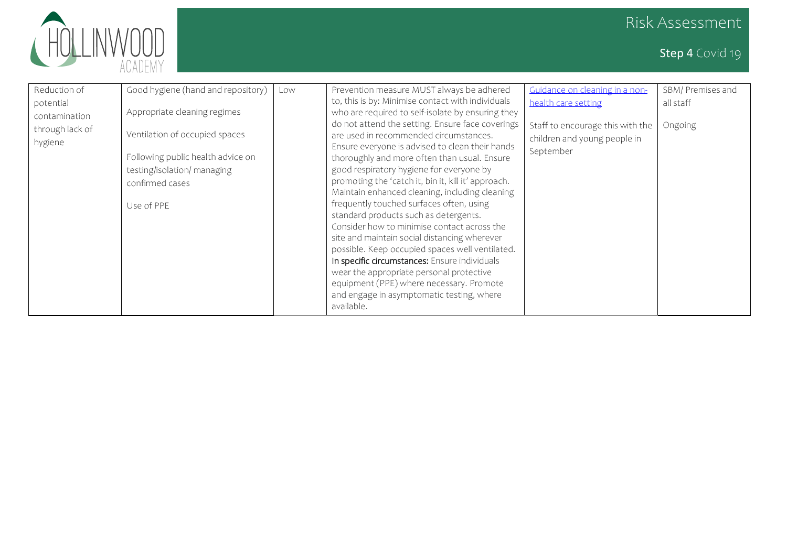

| Reduction of    | Good hygiene (hand and repository) | Low | Prevention measure MUST always be adhered           | Guidance on cleaning in a non-   | SBM/ Premises and |
|-----------------|------------------------------------|-----|-----------------------------------------------------|----------------------------------|-------------------|
| potential       |                                    |     | to, this is by: Minimise contact with individuals   | health care setting              | all staff         |
| contamination   | Appropriate cleaning regimes       |     | who are required to self-isolate by ensuring they   |                                  |                   |
| through lack of |                                    |     | do not attend the setting. Ensure face coverings    | Staff to encourage this with the | Ongoing           |
| hygiene         | Ventilation of occupied spaces     |     | are used in recommended circumstances.              | children and young people in     |                   |
|                 |                                    |     | Ensure everyone is advised to clean their hands     | September                        |                   |
|                 | Following public health advice on  |     | thoroughly and more often than usual. Ensure        |                                  |                   |
|                 | testing/isolation/ managing        |     | good respiratory hygiene for everyone by            |                                  |                   |
|                 | confirmed cases                    |     | promoting the 'catch it, bin it, kill it' approach. |                                  |                   |
|                 |                                    |     | Maintain enhanced cleaning, including cleaning      |                                  |                   |
|                 | Use of PPE                         |     | frequently touched surfaces often, using            |                                  |                   |
|                 |                                    |     | standard products such as detergents.               |                                  |                   |
|                 |                                    |     | Consider how to minimise contact across the         |                                  |                   |
|                 |                                    |     | site and maintain social distancing wherever        |                                  |                   |
|                 |                                    |     | possible. Keep occupied spaces well ventilated.     |                                  |                   |
|                 |                                    |     | In specific circumstances: Ensure individuals       |                                  |                   |
|                 |                                    |     | wear the appropriate personal protective            |                                  |                   |
|                 |                                    |     | equipment (PPE) where necessary. Promote            |                                  |                   |
|                 |                                    |     | and engage in asymptomatic testing, where           |                                  |                   |
|                 |                                    |     | available.                                          |                                  |                   |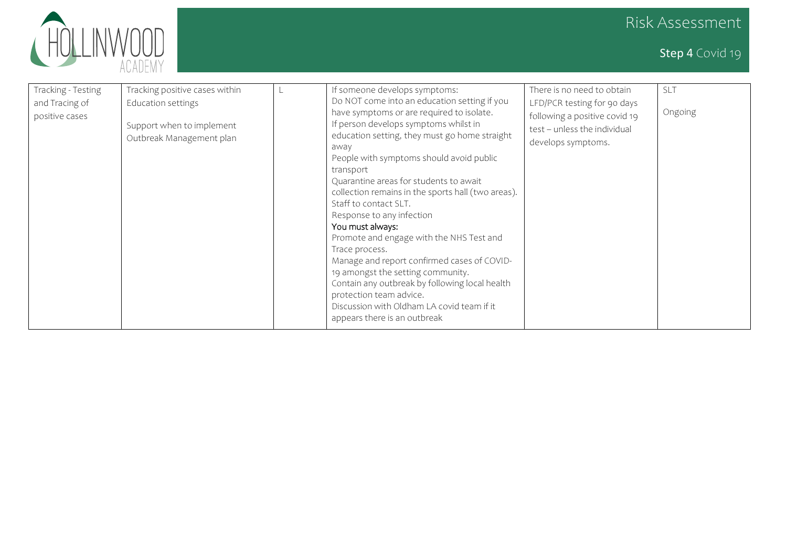

| Tracking - Testing | Tracking positive cases within | If someone develops symptoms:                                               | There is no need to obtain    | <b>SLT</b> |
|--------------------|--------------------------------|-----------------------------------------------------------------------------|-------------------------------|------------|
| and Tracing of     | Education settings             | Do NOT come into an education setting if you                                | LFD/PCR testing for 90 days   |            |
| positive cases     |                                | have symptoms or are required to isolate.                                   | following a positive covid 19 | Ongoing    |
|                    | Support when to implement      | If person develops symptoms whilst in                                       | test - unless the individual  |            |
|                    | Outbreak Management plan       | education setting, they must go home straight                               | develops symptoms.            |            |
|                    |                                | away                                                                        |                               |            |
|                    |                                | People with symptoms should avoid public                                    |                               |            |
|                    |                                | transport                                                                   |                               |            |
|                    |                                | Quarantine areas for students to await                                      |                               |            |
|                    |                                | collection remains in the sports hall (two areas).<br>Staff to contact SLT. |                               |            |
|                    |                                |                                                                             |                               |            |
|                    |                                | Response to any infection<br>You must always:                               |                               |            |
|                    |                                | Promote and engage with the NHS Test and                                    |                               |            |
|                    |                                | Trace process.                                                              |                               |            |
|                    |                                | Manage and report confirmed cases of COVID-                                 |                               |            |
|                    |                                | 19 amongst the setting community.                                           |                               |            |
|                    |                                | Contain any outbreak by following local health                              |                               |            |
|                    |                                | protection team advice.                                                     |                               |            |
|                    |                                | Discussion with Oldham LA covid team if it                                  |                               |            |
|                    |                                | appears there is an outbreak                                                |                               |            |
|                    |                                |                                                                             |                               |            |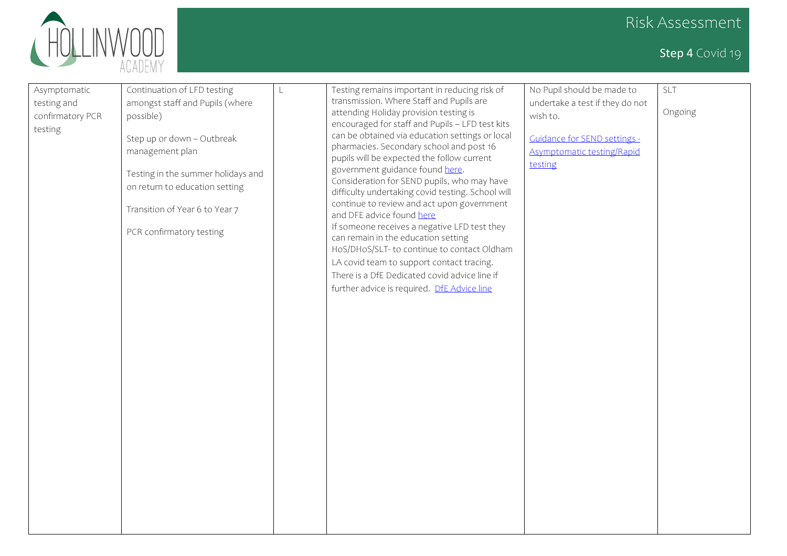

| Asymptomatic     | Continuation of LFD testing        | L | Testing remains important in reducing risk of                                                      | No Pupil should be made to      | SLT     |
|------------------|------------------------------------|---|----------------------------------------------------------------------------------------------------|---------------------------------|---------|
| testing and      | amongst staff and Pupils (where    |   | transmission. Where Staff and Pupils are                                                           | undertake a test if they do not |         |
| confirmatory PCR | possible)                          |   | attending Holiday provision testing is                                                             | wish to.                        | Ongoing |
| testing          |                                    |   | encouraged for staff and Pupils - LFD test kits<br>can be obtained via education settings or local |                                 |         |
|                  | Step up or down - Outbreak         |   | pharmacies. Secondary school and post 16                                                           | Guidance for SEND settings -    |         |
|                  | management plan                    |   | pupils will be expected the follow current                                                         | Asymptomatic testing/Rapid      |         |
|                  | Testing in the summer holidays and |   | government guidance found here.                                                                    | testing                         |         |
|                  | on return to education setting     |   | Consideration for SEND pupils, who may have                                                        |                                 |         |
|                  |                                    |   | difficulty undertaking covid testing. School will                                                  |                                 |         |
|                  | Transition of Year 6 to Year 7     |   | continue to review and act upon government<br>and DFE advice found here                            |                                 |         |
|                  |                                    |   | If someone receives a negative LFD test they                                                       |                                 |         |
|                  | PCR confirmatory testing           |   | can remain in the education setting                                                                |                                 |         |
|                  |                                    |   | HoS/DHoS/SLT- to continue to contact Oldham                                                        |                                 |         |
|                  |                                    |   | LA covid team to support contact tracing.                                                          |                                 |         |
|                  |                                    |   | There is a DfE Dedicated covid advice line if                                                      |                                 |         |
|                  |                                    |   | further advice is required. DfE Advice line                                                        |                                 |         |
|                  |                                    |   |                                                                                                    |                                 |         |
|                  |                                    |   |                                                                                                    |                                 |         |
|                  |                                    |   |                                                                                                    |                                 |         |
|                  |                                    |   |                                                                                                    |                                 |         |
|                  |                                    |   |                                                                                                    |                                 |         |
|                  |                                    |   |                                                                                                    |                                 |         |
|                  |                                    |   |                                                                                                    |                                 |         |
|                  |                                    |   |                                                                                                    |                                 |         |
|                  |                                    |   |                                                                                                    |                                 |         |
|                  |                                    |   |                                                                                                    |                                 |         |
|                  |                                    |   |                                                                                                    |                                 |         |
|                  |                                    |   |                                                                                                    |                                 |         |
|                  |                                    |   |                                                                                                    |                                 |         |
|                  |                                    |   |                                                                                                    |                                 |         |
|                  |                                    |   |                                                                                                    |                                 |         |
|                  |                                    |   |                                                                                                    |                                 |         |
|                  |                                    |   |                                                                                                    |                                 |         |
|                  |                                    |   |                                                                                                    |                                 |         |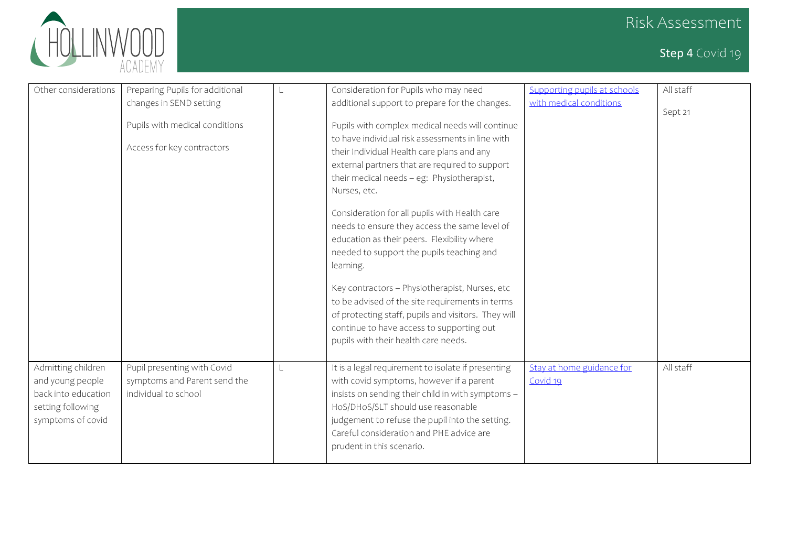

| Other considerations | Preparing Pupils for additional |   | Consideration for Pupils who may need               | Supporting pupils at schools | All staff |
|----------------------|---------------------------------|---|-----------------------------------------------------|------------------------------|-----------|
|                      | changes in SEND setting         |   | additional support to prepare for the changes.      | with medical conditions      |           |
|                      |                                 |   |                                                     |                              | Sept 21   |
|                      | Pupils with medical conditions  |   | Pupils with complex medical needs will continue     |                              |           |
|                      |                                 |   | to have individual risk assessments in line with    |                              |           |
|                      | Access for key contractors      |   | their Individual Health care plans and any          |                              |           |
|                      |                                 |   | external partners that are required to support      |                              |           |
|                      |                                 |   | their medical needs - eg: Physiotherapist,          |                              |           |
|                      |                                 |   | Nurses, etc.                                        |                              |           |
|                      |                                 |   | Consideration for all pupils with Health care       |                              |           |
|                      |                                 |   | needs to ensure they access the same level of       |                              |           |
|                      |                                 |   | education as their peers. Flexibility where         |                              |           |
|                      |                                 |   | needed to support the pupils teaching and           |                              |           |
|                      |                                 |   | learning.                                           |                              |           |
|                      |                                 |   |                                                     |                              |           |
|                      |                                 |   | Key contractors - Physiotherapist, Nurses, etc      |                              |           |
|                      |                                 |   | to be advised of the site requirements in terms     |                              |           |
|                      |                                 |   | of protecting staff, pupils and visitors. They will |                              |           |
|                      |                                 |   | continue to have access to supporting out           |                              |           |
|                      |                                 |   | pupils with their health care needs.                |                              |           |
|                      |                                 |   |                                                     |                              |           |
| Admitting children   | Pupil presenting with Covid     | L | It is a legal requirement to isolate if presenting  | Stay at home guidance for    | All staff |
| and young people     | symptoms and Parent send the    |   | with covid symptoms, however if a parent            | Covid 19                     |           |
| back into education  | individual to school            |   | insists on sending their child in with symptoms -   |                              |           |
| setting following    |                                 |   | HoS/DHoS/SLT should use reasonable                  |                              |           |
| symptoms of covid    |                                 |   | judgement to refuse the pupil into the setting.     |                              |           |
|                      |                                 |   | Careful consideration and PHE advice are            |                              |           |
|                      |                                 |   | prudent in this scenario.                           |                              |           |
|                      |                                 |   |                                                     |                              |           |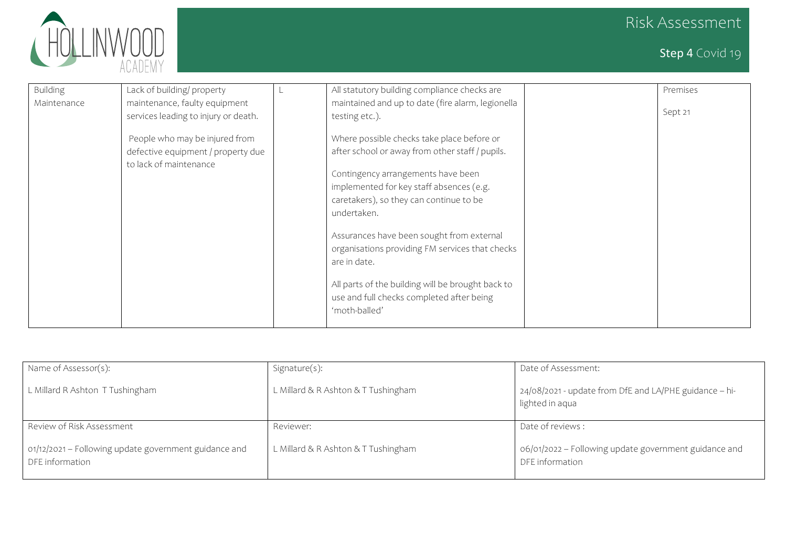

| <b>Building</b> | Lack of building/ property           | All statutory building compliance checks are                                                                    | Premises |
|-----------------|--------------------------------------|-----------------------------------------------------------------------------------------------------------------|----------|
| Maintenance     | maintenance, faulty equipment        | maintained and up to date (fire alarm, legionella                                                               |          |
|                 | services leading to injury or death. | testing etc.).                                                                                                  | Sept 21  |
|                 | People who may be injured from       | Where possible checks take place before or                                                                      |          |
|                 | defective equipment / property due   | after school or away from other staff / pupils.                                                                 |          |
|                 | to lack of maintenance               | Contingency arrangements have been                                                                              |          |
|                 |                                      | implemented for key staff absences (e.g.                                                                        |          |
|                 |                                      | caretakers), so they can continue to be                                                                         |          |
|                 |                                      | undertaken.                                                                                                     |          |
|                 |                                      | Assurances have been sought from external                                                                       |          |
|                 |                                      | organisations providing FM services that checks                                                                 |          |
|                 |                                      | are in date.                                                                                                    |          |
|                 |                                      | All parts of the building will be brought back to<br>use and full checks completed after being<br>'moth-balled' |          |

| Name of Assessor(s):                                                     | Signature $(s)$ :                   | Date of Assessment:                                                       |
|--------------------------------------------------------------------------|-------------------------------------|---------------------------------------------------------------------------|
| L Millard R Ashton T Tushingham                                          | L Millard & R Ashton & T Tushingham | 24/08/2021 - update from DfE and LA/PHE guidance - hi-<br>lighted in aqua |
| Review of Risk Assessment                                                | Reviewer:                           | Date of reviews:                                                          |
| 01/12/2021 - Following update government guidance and<br>DFE information | L Millard & R Ashton & T Tushingham | 06/01/2022 - Following update government guidance and<br>DFE information  |